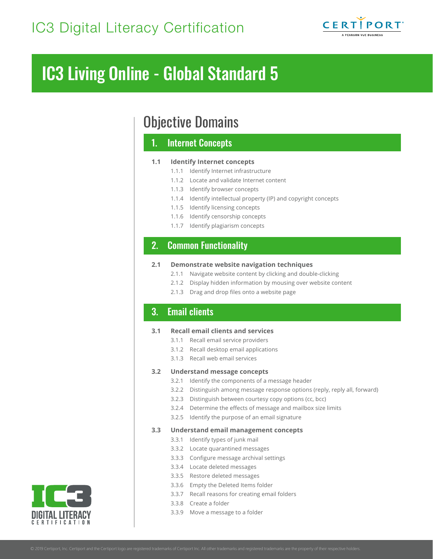

# IC3 Living Online - Global Standard 5

# Objective Domains

# 1. Internet Concepts

#### **1.1 Identify Internet concepts**

- 1.1.1 Identify Internet infrastructure
- 1.1.2 Locate and validate Internet content
- 1.1.3 Identify browser concepts
- 1.1.4 Identify intellectual property (IP) and copyright concepts
- 1.1.5 Identify licensing concepts
- 1.1.6 Identify censorship concepts
- 1.1.7 Identify plagiarism concepts

# $\frac{1}{1}$  Manage Work $\frac{1}{1}$ 2. Common Functionality

#### **2.1 Demonstrate website navigation techniques**

- 2.1.1 Navigate website content by clicking and double-clicking
- 2.1.2 Display hidden information by mousing over website content
- 2.1.3 Drag and drop files onto a website page

# 3. Email clients

#### **3.1 Recall email clients and services**

- 3.1.1 Recall email service providers
- 3.1.2 Recall desktop email applications
- 3.1.3 Recall web email services

#### **3.2 Understand message concepts**

- 3.2.1 Identify the components of a message header
- 3.2.2 Distinguish among message response options (reply, reply all, forward)
- 3.2.3 Distinguish between courtesy copy options (cc, bcc)
- 3.2.4 Determine the effects of message and mailbox size limits
- 3.2.5 Identify the purpose of an email signature

#### **3.3 Understand email management concepts**

- 3.3.1 Identify types of junk mail
- 3.3.2 Locate quarantined messages
- 3.3.3 Configure message archival settings
- 3.3.4 Locate deleted messages
- 3.3.5 Restore deleted messages
- 3.3.6 Empty the Deleted Items folder
- 3.3.7 Recall reasons for creating email folders
- 3.3.8 Create a folder
- 3.3.9 Move a message to a folder

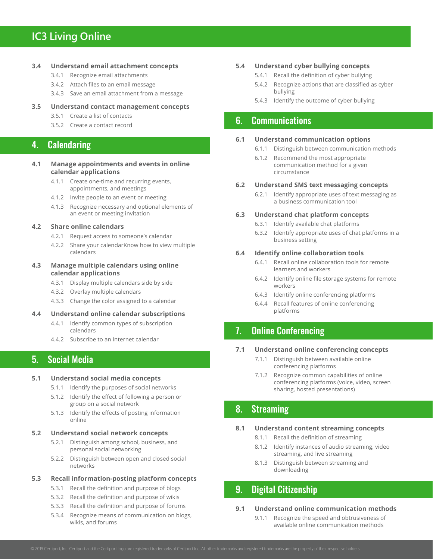# **IC3 Living Online**

#### **3.4 Understand email attachment concepts**

- 3.4.1 Recognize email attachments
- 3.4.2 Attach files to an email message
- 3.4.3 Save an email attachment from a message

### **3.5 Understand contact management concepts**

- 3.5.1 Create a list of contacts
- 3.5.2 Create a contact record

## 4. Calendaring

#### **4.1 Manage appointments and events in online calendar applications**

- 4.1.1 Create one-time and recurring events, appointments, and meetings
- 4.1.2 Invite people to an event or meeting
- 4.1.3 Recognize necessary and optional elements of an event or meeting invitation

#### **4.2 Share online calendars**

- 4.2.1 Request access to someone's calendar
- 4.2.2 Share your calendarKnow how to view multiple calendars

#### **4.3 Manage multiple calendars using online calendar applications**

- 4.3.1 Display multiple calendars side by side
- 4.3.2 Overlay multiple calendars
- 4.3.3 Change the color assigned to a calendar

#### **4.4 Understand online calendar subscriptions**

- 4.4.1 Identify common types of subscription calendars
- 4.4.2 Subscribe to an Internet calendar

# 5. Social Media

#### **5.1 Understand social media concepts**

- 5.1.1 Identify the purposes of social networks
- 5.1.2 Identify the effect of following a person or group on a social network
- 5.1.3 Identify the effects of posting information online

#### **5.2 Understand social network concepts**

- 5.2.1 Distinguish among school, business, and personal social networking
- 5.2.2 Distinguish between open and closed social networks

#### **5.3 Recall information-posting platform concepts**

- 5.3.1 Recall the definition and purpose of blogs
- 5.3.2 Recall the definition and purpose of wikis
- 5.3.3 Recall the definition and purpose of forums
- 5.3.4 Recognize means of communication on blogs, wikis, and forums

#### **5.4 Understand cyber bullying concepts**

- 5.4.1 Recall the definition of cyber bullying
- 5.4.2 Recognize actions that are classified as cyber bullying
- 5.4.3 Identify the outcome of cyber bullying

# 6. Communications

#### **6.1 Understand communication options**

- 6.1.1 Distinguish between communication methods
- 6.1.2 Recommend the most appropriate communication method for a given circumstance

#### **6.2 Understand SMS text messaging concepts**

6.2.1 Identify appropriate uses of text messaging as a business communication tool

#### **6.3 Understand chat platform concepts**

- 6.3.1 Identify available chat platforms
- 6.3.2 Identify appropriate uses of chat platforms in a business setting

#### **6.4 Identify online collaboration tools**

- 6.4.1 Recall online collaboration tools for remote learners and workers
- 6.4.2 Identify online file storage systems for remote workers
- 6.4.3 Identify online conferencing platforms
- 6.4.4 Recall features of online conferencing platforms

# 7. Online Conferencing

#### **7.1 Understand online conferencing concepts**

- 7.1.1 Distinguish between available online conferencing platforms
- 7.1.2 Recognize common capabilities of online conferencing platforms (voice, video, screen sharing, hosted presentations)

## 8. Streaming

#### **8.1 Understand content streaming concepts**

- 8.1.1 Recall the definition of streaming
- 8.1.2 Identify instances of audio streaming, video streaming, and live streaming
- 8.1.3 Distinguish between streaming and downloading

# 9. Digital Citizenship

#### **9.1 Understand online communication methods**

9.1.1 Recognize the speed and obtrusiveness of available online communication methods